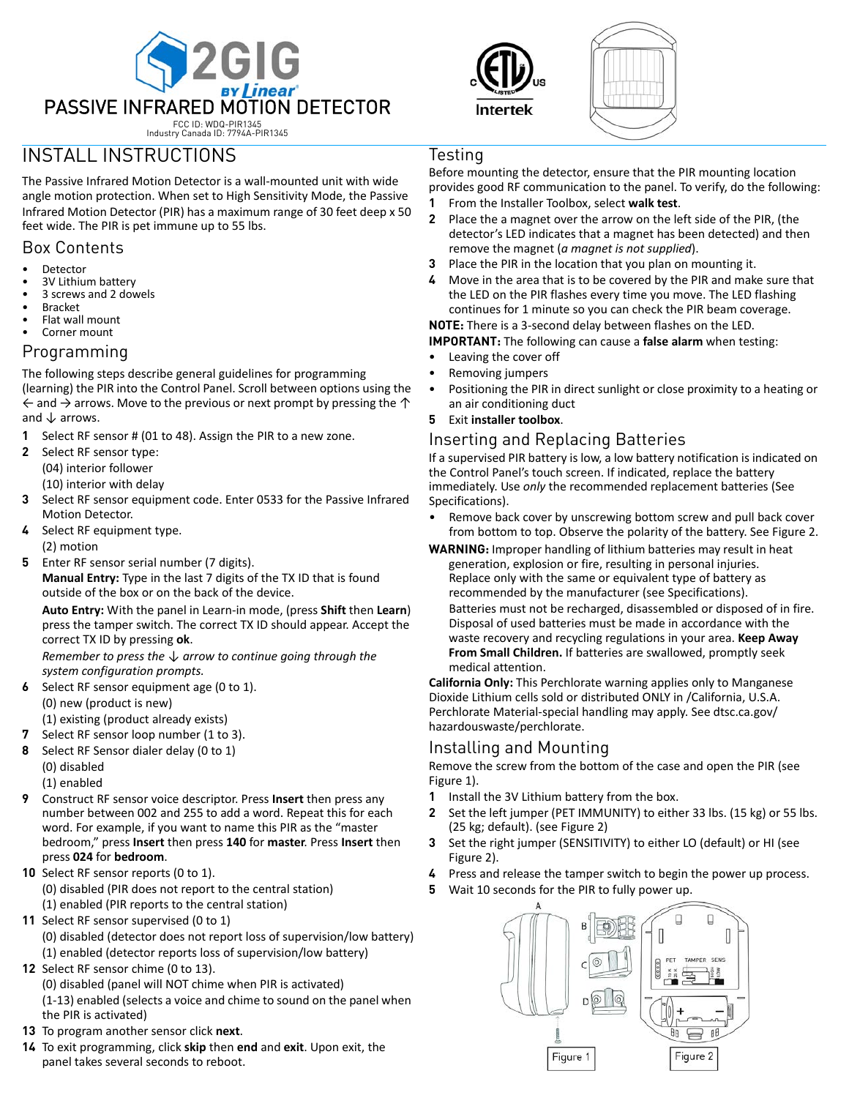





# INSTALL INSTRUCTIONS

The Passive Infrared Motion Detector is a wall‐mounted unit with wide angle motion protection. When set to High Sensitivity Mode, the Passive Infrared Motion Detector (PIR) has a maximum range of 30 feet deep x 50 feet wide. The PIR is pet immune up to 55 lbs.

### Box Contents

- **Detector**
- 3V Lithium battery
- 3 screws and 2 dowels
- **Bracket**
- Flat wall mount
- Corner mount

#### Programming

The following steps describe general guidelines for programming (learning) the PIR into the Control Panel. Scroll between options using the  $\leftarrow$  and  $\rightarrow$  arrows. Move to the previous or next prompt by pressing the  $\uparrow$ and  $\downarrow$  arrows.

- **1** Select RF sensor # (01 to 48). Assign the PIR to a new zone.
- **2** Select RF sensor type: (04) interior follower

(10) interior with delay

- **3** Select RF sensor equipment code. Enter 0533 for the Passive Infrared Motion Detector.
- **4** Select RF equipment type. (2) motion
- **5** Enter RF sensor serial number (7 digits).

**Manual Entry:** Type in the last 7 digits of the TX ID that is found outside of the box or on the back of the device.

**Auto Entry:** With the panel in Learn‐in mode, (press **Shift** then **Learn**) press the tamper switch. The correct TX ID should appear. Accept the correct TX ID by pressing **ok**.

*Remember to press the ↓ arrow to continue going through the system configuration prompts.*

- **6** Select RF sensor equipment age (0 to 1). (0) new (product is new)
	- (1) existing (product already exists)
- **7** Select RF sensor loop number (1 to 3).
- **8** Select RF Sensor dialer delay (0 to 1)
	- (0) disabled (1) enabled
- **9** Construct RF sensor voice descriptor. Press **Insert** then press any number between 002 and 255 to add a word. Repeat this for each word. For example, if you want to name this PIR as the "master bedroom," press **Insert** then press **140** for **master**. Press **Insert** then press **024** for **bedroom**.
- **10** Select RF sensor reports (0 to 1). (0) disabled (PIR does not report to the central station) (1) enabled (PIR reports to the central station)
- **11** Select RF sensor supervised (0 to 1) (0) disabled (detector does not report loss of supervision/low battery) (1) enabled (detector reports loss of supervision/low battery)
- **12** Select RF sensor chime (0 to 13). (0) disabled (panel will NOT chime when PIR is activated) (1‐13) enabled (selects a voice and chime to sound on the panel when the PIR is activated)
- **13** To program another sensor click **next**.
- **14** To exit programming, click **skip** then **end** and **exit**. Upon exit, the panel takes several seconds to reboot.

# Testing

Before mounting the detector, ensure that the PIR mounting location provides good RF communication to the panel. To verify, do the following:

- **1** From the Installer Toolbox, select **walk test**.
- **2** Place the a magnet over the arrow on the left side of the PIR, (the detector's LED indicates that a magnet has been detected) and then remove the magnet (*a magnet is not supplied*).
- **3** Place the PIR in the location that you plan on mounting it.
- **4** Move in the area that is to be covered by the PIR and make sure that the LED on the PIR flashes every time you move. The LED flashing continues for 1 minute so you can check the PIR beam coverage.

**NOTE:** There is a 3‐second delay between flashes on the LED.

**IMPORTANT:** The following can cause a **false alarm** when testing:

- Leaving the cover off
- Removing jumpers
- Positioning the PIR in direct sunlight or close proximity to a heating or an air conditioning duct
- **5** Exit **installer toolbox**.

# Inserting and Replacing Batteries

If a supervised PIR battery is low, a low battery notification is indicated on the Control Panel's touch screen. If indicated, replace the battery immediately. Use *only* the recommended replacement batteries (See Specifications).

- Remove back cover by unscrewing bottom screw and pull back cover from bottom to top. Observe the polarity of the battery. See Figure 2.
- **WARNING:** Improper handling of lithium batteries may result in heat generation, explosion or fire, resulting in personal injuries. Replace only with the same or equivalent type of battery as recommended by the manufacturer (see Specifications).

Batteries must not be recharged, disassembled or disposed of in fire. Disposal of used batteries must be made in accordance with the waste recovery and recycling regulations in your area. **Keep Away From Small Children.** If batteries are swallowed, promptly seek medical attention.

**California Only:** This Perchlorate warning applies only to Manganese Dioxide Lithium cells sold or distributed ONLY in /California, U.S.A. Perchlorate Material‐special handling may apply. See dtsc.ca.gov/ hazardouswaste/perchlorate.

# Installing and Mounting

Remove the screw from the bottom of the case and open the PIR (see Figure 1).

- **1** Install the 3V Lithium battery from the box.
- **2** Set the left jumper (PET IMMUNITY) to either 33 lbs. (15 kg) or 55 lbs. (25 kg; default). (see Figure 2)
- **3** Set the right jumper (SENSITIVITY) to either LO (default) or HI (see Figure 2).
- **4** Press and release the tamper switch to begin the power up process.
- **5** Wait 10 seconds for the PIR to fully power up.